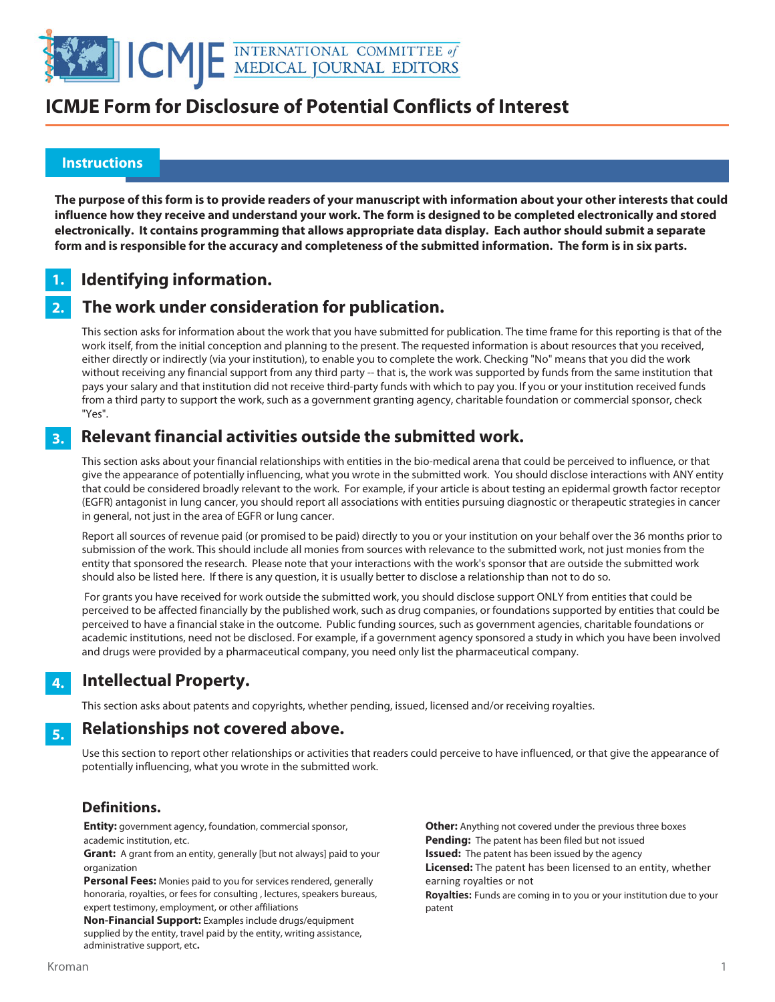

## **ICMJE Form for Disclosure of Potential Conflicts of Interest**

#### **Instructions**

֚֬

**The purpose of this form is to provide readers of your manuscript with information about your other interests that could influence how they receive and understand your work. The form is designed to be completed electronically and stored electronically. It contains programming that allows appropriate data display. Each author should submit a separate form and is responsible for the accuracy and completeness of the submitted information. The form is in six parts.** 

#### **Identifying information. 1.**

#### **The work under consideration for publication. 2.**

This section asks for information about the work that you have submitted for publication. The time frame for this reporting is that of the work itself, from the initial conception and planning to the present. The requested information is about resources that you received, either directly or indirectly (via your institution), to enable you to complete the work. Checking "No" means that you did the work without receiving any financial support from any third party -- that is, the work was supported by funds from the same institution that pays your salary and that institution did not receive third-party funds with which to pay you. If you or your institution received funds from a third party to support the work, such as a government granting agency, charitable foundation or commercial sponsor, check "Yes".

#### **Relevant financial activities outside the submitted work. 3.**

This section asks about your financial relationships with entities in the bio-medical arena that could be perceived to influence, or that give the appearance of potentially influencing, what you wrote in the submitted work. You should disclose interactions with ANY entity that could be considered broadly relevant to the work. For example, if your article is about testing an epidermal growth factor receptor (EGFR) antagonist in lung cancer, you should report all associations with entities pursuing diagnostic or therapeutic strategies in cancer in general, not just in the area of EGFR or lung cancer.

Report all sources of revenue paid (or promised to be paid) directly to you or your institution on your behalf over the 36 months prior to submission of the work. This should include all monies from sources with relevance to the submitted work, not just monies from the entity that sponsored the research. Please note that your interactions with the work's sponsor that are outside the submitted work should also be listed here. If there is any question, it is usually better to disclose a relationship than not to do so.

 For grants you have received for work outside the submitted work, you should disclose support ONLY from entities that could be perceived to be affected financially by the published work, such as drug companies, or foundations supported by entities that could be perceived to have a financial stake in the outcome. Public funding sources, such as government agencies, charitable foundations or academic institutions, need not be disclosed. For example, if a government agency sponsored a study in which you have been involved and drugs were provided by a pharmaceutical company, you need only list the pharmaceutical company.

#### **Intellectual Property. 4.**

This section asks about patents and copyrights, whether pending, issued, licensed and/or receiving royalties.

#### **Relationships not covered above. 5.**

Use this section to report other relationships or activities that readers could perceive to have influenced, or that give the appearance of potentially influencing, what you wrote in the submitted work.

### **Definitions.**

**Entity:** government agency, foundation, commercial sponsor, academic institution, etc.

**Grant:** A grant from an entity, generally [but not always] paid to your organization

**Personal Fees:** Monies paid to you for services rendered, generally honoraria, royalties, or fees for consulting , lectures, speakers bureaus, expert testimony, employment, or other affiliations

**Non-Financial Support:** Examples include drugs/equipment supplied by the entity, travel paid by the entity, writing assistance, administrative support, etc**.**

**Other:** Anything not covered under the previous three boxes **Pending:** The patent has been filed but not issued **Issued:** The patent has been issued by the agency **Licensed:** The patent has been licensed to an entity, whether earning royalties or not

**Royalties:** Funds are coming in to you or your institution due to your patent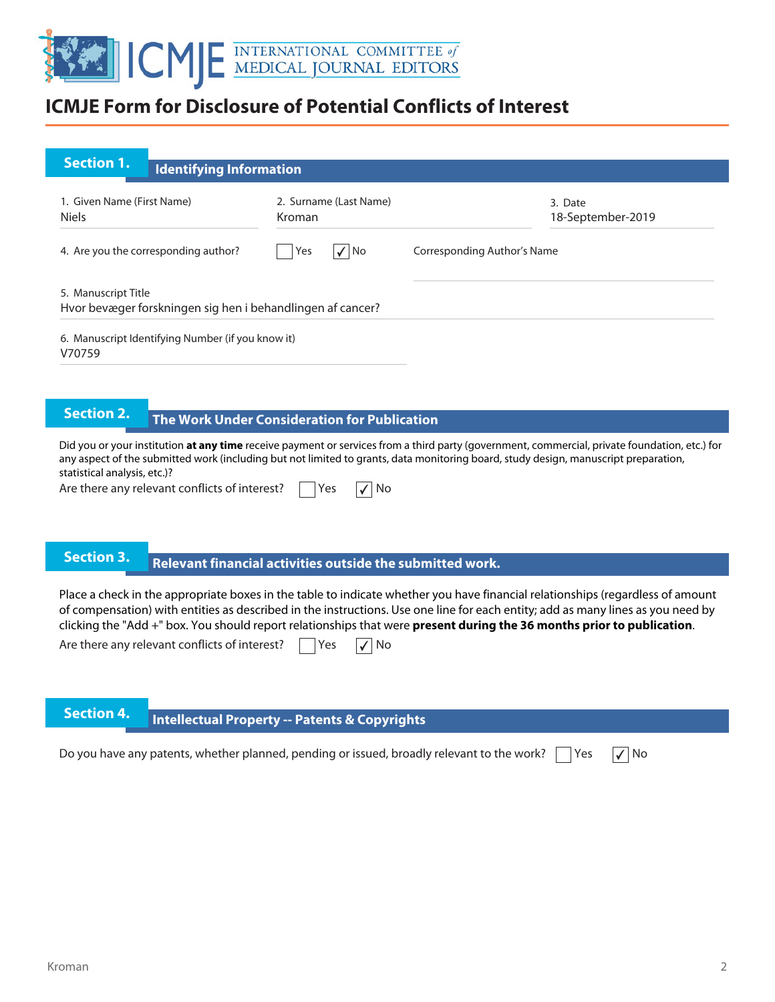

## **ICMJE Form for Disclosure of Potential Conflicts of Interest**

| <b>Section 1.</b><br><b>Identifying Information</b>                               |                                  |                              |
|-----------------------------------------------------------------------------------|----------------------------------|------------------------------|
| 1. Given Name (First Name)<br><b>Niels</b>                                        | 2. Surname (Last Name)<br>Kroman | 3. Date<br>18-September-2019 |
| 4. Are you the corresponding author?                                              | $\sqrt{ NQ}$<br>Yes              | Corresponding Author's Name  |
| 5. Manuscript Title<br>Hvor bevæger forskningen sig hen i behandlingen af cancer? |                                  |                              |

V70759

### **The Work Under Consideration for Publication**

Did you or your institution **at any time** receive payment or services from a third party (government, commercial, private foundation, etc.) for any aspect of the submitted work (including but not limited to grants, data monitoring board, study design, manuscript preparation, statistical analysis, etc.)?

Are there any relevant conflicts of interest?  $\Box$  Yes  $\Box$  No

# **Relevant financial activities outside the submitted work. Section 3. Relevant financial activities outset**

Place a check in the appropriate boxes in the table to indicate whether you have financial relationships (regardless of amount of compensation) with entities as described in the instructions. Use one line for each entity; add as many lines as you need by clicking the "Add +" box. You should report relationships that were **present during the 36 months prior to publication**.

Are there any relevant conflicts of interest?  $\Box$  Yes  $\Box$  No

# **Intellectual Property -- Patents & Copyrights**

Do you have any patents, whether planned, pending or issued, broadly relevant to the work?  $\vert \ \vert$  Yes  $\vert \sqrt{\vert N}$